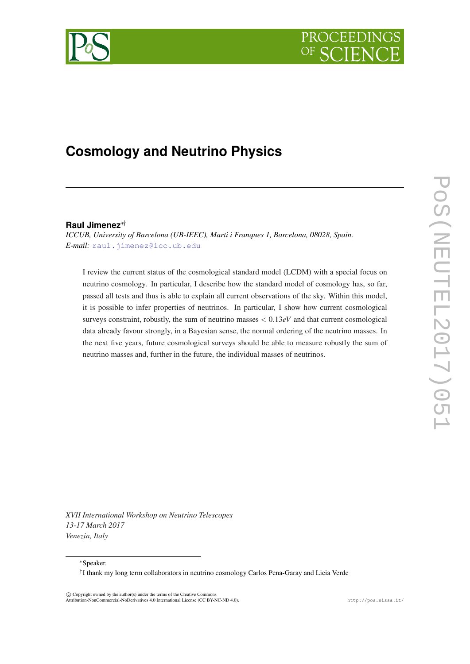



# **Cosmology and Neutrino Physics**

## **Raul Jimenez**∗†

*ICCUB, University of Barcelona (UB-IEEC), Marti i Franques 1, Barcelona, 08028, Spain. E-mail:* [raul.jimenez@icc.ub.edu](mailto:raul.jimenez@icc.ub.edu)

I review the current status of the cosmological standard model (LCDM) with a special focus on neutrino cosmology. In particular, I describe how the standard model of cosmology has, so far, passed all tests and thus is able to explain all current observations of the sky. Within this model, it is possible to infer properties of neutrinos. In particular, I show how current cosmological surveys constraint, robustly, the sum of neutrino masses < 0.13*eV* and that current cosmological data already favour strongly, in a Bayesian sense, the normal ordering of the neutrino masses. In the next five years, future cosmological surveys should be able to measure robustly the sum of neutrino masses and, further in the future, the individual masses of neutrinos.

*XVII International Workshop on Neutrino Telescopes 13-17 March 2017 Venezia, Italy*

<sup>∗</sup>Speaker.

† I thank my long term collaborators in neutrino cosmology Carlos Pena-Garay and Licia Verde

 $\overline{c}$  Copyright owned by the author(s) under the terms of the Creative Commons Attribution-NonCommercial-NoDerivatives 4.0 International License (CC BY-NC-ND 4.0). http://pos.sissa.it/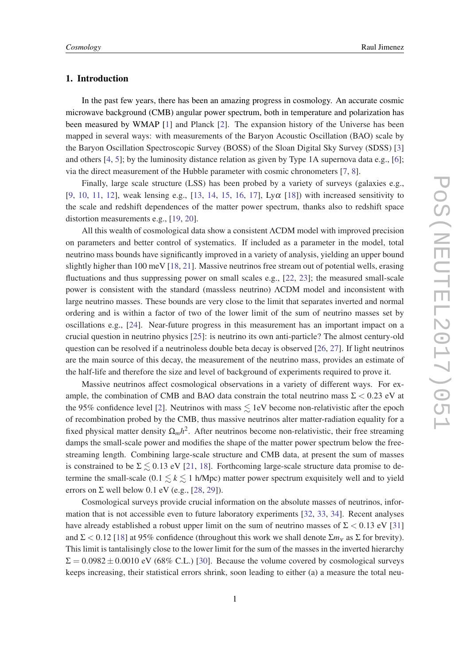## 1. Introduction

In the past few years, there has been an amazing progress in cosmology. An accurate cosmic microwave background (CMB) angular power spectrum, both in temperature and polarization has been measured by WMAP [\[1\]](#page-8-0) and Planck [\[2](#page-9-0)]. The expansion history of the Universe has been mapped in several ways: with measurements of the Baryon Acoustic Oscillation (BAO) scale by the Baryon Oscillation Spectroscopic Survey (BOSS) of the Sloan Digital Sky Survey (SDSS) [[3](#page-9-0)] and others  $[4, 5]$  $[4, 5]$  $[4, 5]$  $[4, 5]$  $[4, 5]$ ; by the luminosity distance relation as given by Type 1A supernova data e.g.,  $[6]$  $[6]$  $[6]$ ; via the direct measurement of the Hubble parameter with cosmic chronometers [\[7,](#page-9-0) [8\]](#page-9-0).

Finally, large scale structure (LSS) has been probed by a variety of surveys (galaxies e.g., [[9](#page-9-0), [10](#page-9-0), [11,](#page-9-0) [12](#page-9-0)], weak lensing e.g., [[13,](#page-9-0) [14,](#page-9-0) [15](#page-9-0), [16,](#page-9-0) [17](#page-9-0)],  $Ly\alpha$  [\[18](#page-9-0)]) with increased sensitivity to the scale and redshift dependences of the matter power spectrum, thanks also to redshift space distortion measurements e.g., [[19,](#page-9-0) [20](#page-9-0)].

All this wealth of cosmological data show a consistent ΛCDM model with improved precision on parameters and better control of systematics. If included as a parameter in the model, total neutrino mass bounds have significantly improved in a variety of analysis, yielding an upper bound slightly higher than 100 meV [[18,](#page-9-0) [21\]](#page-9-0). Massive neutrinos free stream out of potential wells, erasing fluctuations and thus suppressing power on small scales e.g., [[22,](#page-9-0) [23\]](#page-9-0); the measured small-scale power is consistent with the standard (massless neutrino) ΛCDM model and inconsistent with large neutrino masses. These bounds are very close to the limit that separates inverted and normal ordering and is within a factor of two of the lower limit of the sum of neutrino masses set by oscillations e.g., [[24\]](#page-9-0). Near-future progress in this measurement has an important impact on a crucial question in neutrino physics [[25\]](#page-9-0): is neutrino its own anti-particle? The almost century-old question can be resolved if a neutrinoless double beta decay is observed [[26,](#page-9-0) [27](#page-9-0)]. If light neutrinos are the main source of this decay, the measurement of the neutrino mass, provides an estimate of the half-life and therefore the size and level of background of experiments required to prove it.

Massive neutrinos affect cosmological observations in a variety of different ways. For example, the combination of CMB and BAO data constrain the total neutrino mass  $\Sigma < 0.23$  eV at the 95% confidence level [\[2\]](#page-9-0). Neutrinos with mass  $\leq$  1eV become non-relativistic after the epoch of recombination probed by the CMB, thus massive neutrinos alter matter-radiation equality for a fixed physical matter density  $\Omega_m h^2$ . After neutrinos become non-relativistic, their free streaming damps the small-scale power and modifies the shape of the matter power spectrum below the freestreaming length. Combining large-scale structure and CMB data, at present the sum of masses is constrained to be  $\Sigma \lesssim 0.13$  eV [[21,](#page-9-0) [18\]](#page-9-0). Forthcoming large-scale structure data promise to determine the small-scale  $(0.1 \le k \le 1 \text{ h/Mpc})$  matter power spectrum exquisitely well and to yield errors on  $\Sigma$  well below 0.1 eV (e.g., [[28](#page-9-0), [29\]](#page-9-0)).

Cosmological surveys provide crucial information on the absolute masses of neutrinos, information that is not accessible even to future laboratory experiments [\[32,](#page-9-0) [33,](#page-9-0) [34\]](#page-9-0). Recent analyses have already established a robust upper limit on the sum of neutrino masses of  $\Sigma < 0.13$  eV [\[31](#page-9-0)] and  $\Sigma < 0.12$  [\[18](#page-9-0)] at 95% confidence (throughout this work we shall denote  $\Sigma m_v$  as  $\Sigma$  for brevity). This limit is tantalisingly close to the lower limit for the sum of the masses in the inverted hierarchy  $\Sigma = 0.0982 \pm 0.0010$  eV (68% C.L.) [\[30\]](#page-9-0). Because the volume covered by cosmological surveys keeps increasing, their statistical errors shrink, soon leading to either (a) a measure the total neu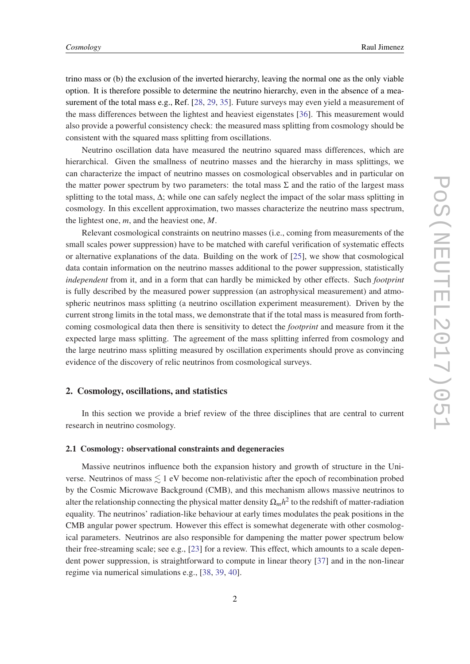trino mass or (b) the exclusion of the inverted hierarchy, leaving the normal one as the only viable option. It is therefore possible to determine the neutrino hierarchy, even in the absence of a mea-surement of the total mass e.g., Ref. [\[28,](#page-9-0) [29](#page-9-0), [35](#page-10-0)]. Future surveys may even yield a measurement of the mass differences between the lightest and heaviest eigenstates [\[36](#page-10-0)]. This measurement would also provide a powerful consistency check: the measured mass splitting from cosmology should be consistent with the squared mass splitting from oscillations.

Neutrino oscillation data have measured the neutrino squared mass differences, which are hierarchical. Given the smallness of neutrino masses and the hierarchy in mass splittings, we can characterize the impact of neutrino masses on cosmological observables and in particular on the matter power spectrum by two parameters: the total mass  $\Sigma$  and the ratio of the largest mass splitting to the total mass, ∆; while one can safely neglect the impact of the solar mass splitting in cosmology. In this excellent approximation, two masses characterize the neutrino mass spectrum, the lightest one, *m*, and the heaviest one, *M*.

Relevant cosmological constraints on neutrino masses (i.e., coming from measurements of the small scales power suppression) have to be matched with careful verification of systematic effects or alternative explanations of the data. Building on the work of [\[25](#page-9-0)], we show that cosmological data contain information on the neutrino masses additional to the power suppression, statistically *independent* from it, and in a form that can hardly be mimicked by other effects. Such *footprint* is fully described by the measured power suppression (an astrophysical measurement) and atmospheric neutrinos mass splitting (a neutrino oscillation experiment measurement). Driven by the current strong limits in the total mass, we demonstrate that if the total mass is measured from forthcoming cosmological data then there is sensitivity to detect the *footprint* and measure from it the expected large mass splitting. The agreement of the mass splitting inferred from cosmology and the large neutrino mass splitting measured by oscillation experiments should prove as convincing evidence of the discovery of relic neutrinos from cosmological surveys.

#### 2. Cosmology, oscillations, and statistics

In this section we provide a brief review of the three disciplines that are central to current research in neutrino cosmology.

## 2.1 Cosmology: observational constraints and degeneracies

Massive neutrinos influence both the expansion history and growth of structure in the Universe. Neutrinos of mass  $\leq 1$  eV become non-relativistic after the epoch of recombination probed by the Cosmic Microwave Background (CMB), and this mechanism allows massive neutrinos to alter the relationship connecting the physical matter density  $\Omega_m h^2$  to the redshift of matter-radiation equality. The neutrinos' radiation-like behaviour at early times modulates the peak positions in the CMB angular power spectrum. However this effect is somewhat degenerate with other cosmological parameters. Neutrinos are also responsible for dampening the matter power spectrum below their free-streaming scale; see e.g., [[23\]](#page-9-0) for a review. This effect, which amounts to a scale dependent power suppression, is straightforward to compute in linear theory [[37\]](#page-10-0) and in the non-linear regime via numerical simulations e.g., [\[38](#page-10-0), [39,](#page-10-0) [40](#page-10-0)].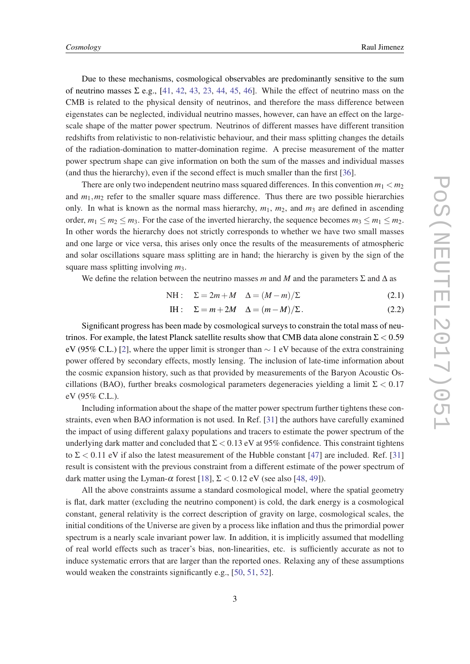Due to these mechanisms, cosmological observables are predominantly sensitive to the sum of neutrino masses  $\Sigma$  e.g., [[41,](#page-10-0) [42,](#page-10-0) [43](#page-10-0), [23](#page-9-0), [44](#page-10-0), [45](#page-10-0), [46](#page-10-0)]. While the effect of neutrino mass on the CMB is related to the physical density of neutrinos, and therefore the mass difference between eigenstates can be neglected, individual neutrino masses, however, can have an effect on the largescale shape of the matter power spectrum. Neutrinos of different masses have different transition redshifts from relativistic to non-relativistic behaviour, and their mass splitting changes the details of the radiation-domination to matter-domination regime. A precise measurement of the matter power spectrum shape can give information on both the sum of the masses and individual masses (and thus the hierarchy), even if the second effect is much smaller than the first [\[36\]](#page-10-0).

There are only two independent neutrino mass squared differences. In this convention  $m_1 < m_2$ and  $m_1$ ,  $m_2$  refer to the smaller square mass difference. Thus there are two possible hierarchies only. In what is known as the normal mass hierarchy,  $m_1$ ,  $m_2$ , and  $m_3$  are defined in ascending order,  $m_1 \le m_2 \le m_3$ . For the case of the inverted hierarchy, the sequence becomes  $m_3 \le m_1 \le m_2$ . In other words the hierarchy does not strictly corresponds to whether we have two small masses and one large or vice versa, this arises only once the results of the measurements of atmospheric and solar oscillations square mass splitting are in hand; the hierarchy is given by the sign of the square mass splitting involving *m*3.

We define the relation between the neutrino masses *m* and *M* and the parameters  $\Sigma$  and  $\Delta$  as

$$
NH: \quad \Sigma = 2m + M \quad \Delta = (M - m)/\Sigma \tag{2.1}
$$

$$
IH: \quad \Sigma = m + 2M \quad \Delta = (m - M)/\Sigma. \tag{2.2}
$$

Significant progress has been made by cosmological surveys to constrain the total mass of neutrinos. For example, the latest Planck satellite results show that CMB data alone constrain  $\Sigma < 0.59$ eV (95% C.L.) [\[2\]](#page-9-0), where the upper limit is stronger than  $\sim$  1 eV because of the extra constraining power offered by secondary effects, mostly lensing. The inclusion of late-time information about the cosmic expansion history, such as that provided by measurements of the Baryon Acoustic Oscillations (BAO), further breaks cosmological parameters degeneracies yielding a limit  $\Sigma < 0.17$ eV (95% C.L.).

Including information about the shape of the matter power spectrum further tightens these constraints, even when BAO information is not used. In Ref. [\[31](#page-9-0)] the authors have carefully examined the impact of using different galaxy populations and tracers to estimate the power spectrum of the underlying dark matter and concluded that  $\Sigma < 0.13$  eV at 95% confidence. This constraint tightens to  $\Sigma$  < 0.11 eV if also the latest measurement of the Hubble constant [[47\]](#page-10-0) are included. Ref. [\[31](#page-9-0)] result is consistent with the previous constraint from a different estimate of the power spectrum of dark matter using the Lyman- $\alpha$  forest [\[18](#page-9-0)],  $\Sigma < 0.12$  eV (see also [[48,](#page-10-0) [49\]](#page-10-0)).

All the above constraints assume a standard cosmological model, where the spatial geometry is flat, dark matter (excluding the neutrino component) is cold, the dark energy is a cosmological constant, general relativity is the correct description of gravity on large, cosmological scales, the initial conditions of the Universe are given by a process like inflation and thus the primordial power spectrum is a nearly scale invariant power law. In addition, it is implicitly assumed that modelling of real world effects such as tracer's bias, non-linearities, etc. is sufficiently accurate as not to induce systematic errors that are larger than the reported ones. Relaxing any of these assumptions would weaken the constraints significantly e.g., [[50,](#page-10-0) [51](#page-10-0), [52](#page-10-0)].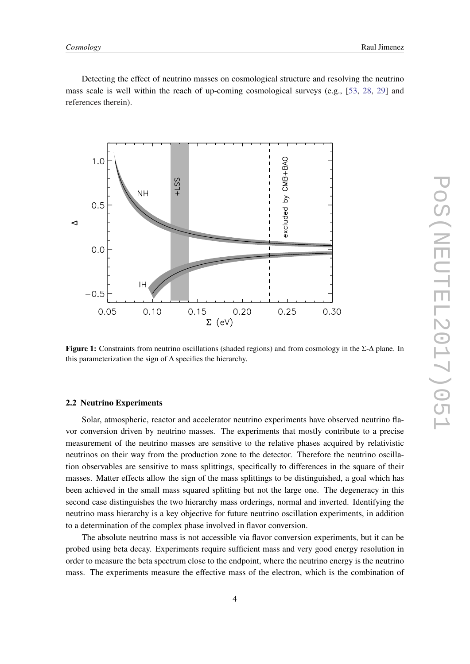Detecting the effect of neutrino masses on cosmological structure and resolving the neutrino mass scale is well within the reach of up-coming cosmological surveys (e.g., [[53,](#page-10-0) [28,](#page-9-0) [29](#page-9-0)] and references therein).



Figure 1: Constraints from neutrino oscillations (shaded regions) and from cosmology in the Σ-∆ plane. In this parameterization the sign of  $\Delta$  specifies the hierarchy.

#### 2.2 Neutrino Experiments

Solar, atmospheric, reactor and accelerator neutrino experiments have observed neutrino flavor conversion driven by neutrino masses. The experiments that mostly contribute to a precise measurement of the neutrino masses are sensitive to the relative phases acquired by relativistic neutrinos on their way from the production zone to the detector. Therefore the neutrino oscillation observables are sensitive to mass splittings, specifically to differences in the square of their masses. Matter effects allow the sign of the mass splittings to be distinguished, a goal which has been achieved in the small mass squared splitting but not the large one. The degeneracy in this second case distinguishes the two hierarchy mass orderings, normal and inverted. Identifying the neutrino mass hierarchy is a key objective for future neutrino oscillation experiments, in addition to a determination of the complex phase involved in flavor conversion.

The absolute neutrino mass is not accessible via flavor conversion experiments, but it can be probed using beta decay. Experiments require sufficient mass and very good energy resolution in order to measure the beta spectrum close to the endpoint, where the neutrino energy is the neutrino mass. The experiments measure the effective mass of the electron, which is the combination of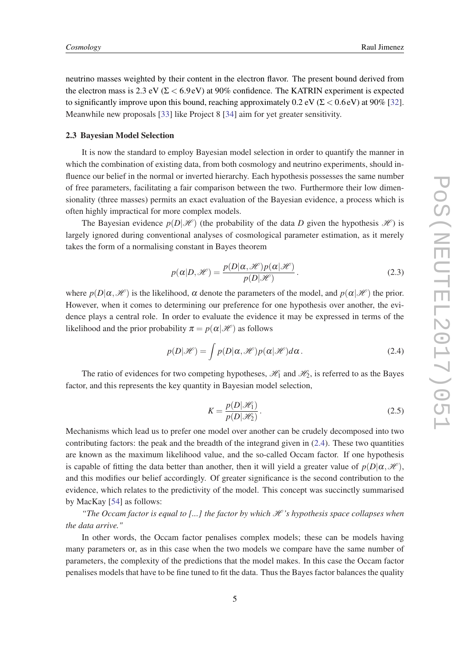neutrino masses weighted by their content in the electron flavor. The present bound derived from the electron mass is 2.3 eV ( $\Sigma < 6.9$  eV) at 90% confidence. The KATRIN experiment is expected to significantly improve upon this bound, reaching approximately 0.2 eV ( $\Sigma < 0.6$  eV) at 90% [[32\]](#page-9-0). Meanwhile new proposals [[33\]](#page-9-0) like Project 8 [[34\]](#page-9-0) aim for yet greater sensitivity.

#### 2.3 Bayesian Model Selection

It is now the standard to employ Bayesian model selection in order to quantify the manner in which the combination of existing data, from both cosmology and neutrino experiments, should influence our belief in the normal or inverted hierarchy. Each hypothesis possesses the same number of free parameters, facilitating a fair comparison between the two. Furthermore their low dimensionality (three masses) permits an exact evaluation of the Bayesian evidence, a process which is often highly impractical for more complex models.

The Bayesian evidence  $p(D|\mathcal{H})$  (the probability of the data *D* given the hypothesis  $\mathcal{H}$ ) is largely ignored during conventional analyses of cosmological parameter estimation, as it merely takes the form of a normalising constant in Bayes theorem

$$
p(\alpha|D,\mathcal{H}) = \frac{p(D|\alpha,\mathcal{H})p(\alpha|\mathcal{H})}{p(D|\mathcal{H})}.
$$
\n(2.3)

where  $p(D|\alpha,\mathcal{H})$  is the likelihood,  $\alpha$  denote the parameters of the model, and  $p(\alpha|\mathcal{H})$  the prior. However, when it comes to determining our preference for one hypothesis over another, the evidence plays a central role. In order to evaluate the evidence it may be expressed in terms of the likelihood and the prior probability  $\pi = p(\alpha|\mathcal{H})$  as follows

$$
p(D|\mathcal{H}) = \int p(D|\alpha, \mathcal{H}) p(\alpha|\mathcal{H}) d\alpha.
$$
 (2.4)

The ratio of evidences for two competing hypotheses,  $\mathcal{H}_1$  and  $\mathcal{H}_2$ , is referred to as the Bayes factor, and this represents the key quantity in Bayesian model selection,

$$
K = \frac{p(D|\mathcal{H}_1)}{p(D|\mathcal{H}_2)}.
$$
\n(2.5)

Mechanisms which lead us to prefer one model over another can be crudely decomposed into two contributing factors: the peak and the breadth of the integrand given in (2.4). These two quantities are known as the maximum likelihood value, and the so-called Occam factor. If one hypothesis is capable of fitting the data better than another, then it will yield a greater value of  $p(D|\alpha,\mathcal{H})$ , and this modifies our belief accordingly. Of greater significance is the second contribution to the evidence, which relates to the predictivity of the model. This concept was succinctly summarised by MacKay [[54\]](#page-10-0) as follows:

*"The Occam factor is equal to [...] the factor by which*  $\mathcal{H}$ *'s hypothesis space collapses when the data arrive."*

In other words, the Occam factor penalises complex models; these can be models having many parameters or, as in this case when the two models we compare have the same number of parameters, the complexity of the predictions that the model makes. In this case the Occam factor penalises models that have to be fine tuned to fit the data. Thus the Bayes factor balances the quality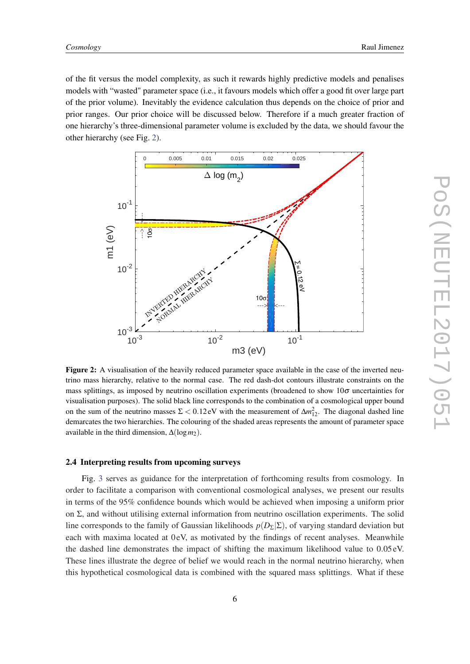of the fit versus the model complexity, as such it rewards highly predictive models and penalises models with "wasted" parameter space (i.e., it favours models which offer a good fit over large part of the prior volume). Inevitably the evidence calculation thus depends on the choice of prior and prior ranges. Our prior choice will be discussed below. Therefore if a much greater fraction of one hierarchy's three-dimensional parameter volume is excluded by the data, we should favour the other hierarchy (see Fig. 2).



Figure 2: A visualisation of the heavily reduced parameter space available in the case of the inverted neutrino mass hierarchy, relative to the normal case. The red dash-dot contours illustrate constraints on the mass splittings, as imposed by neutrino oscillation experiments (broadened to show  $10\sigma$  uncertainties for visualisation purposes). The solid black line corresponds to the combination of a cosmological upper bound on the sum of the neutrino masses  $\Sigma < 0.12$  eV with the measurement of  $\Delta m_{12}^2$ . The diagonal dashed line demarcates the two hierarchies. The colouring of the shaded areas represents the amount of parameter space available in the third dimension,  $\Delta(\log m_2)$ .

#### 2.4 Interpreting results from upcoming surveys

Fig. [3](#page-7-0) serves as guidance for the interpretation of forthcoming results from cosmology. In order to facilitate a comparison with conventional cosmological analyses, we present our results in terms of the 95% confidence bounds which would be achieved when imposing a uniform prior on  $\Sigma$ , and without utilising external information from neutrino oscillation experiments. The solid line corresponds to the family of Gaussian likelihoods  $p(D_{\Sigma}|\Sigma)$ , of varying standard deviation but each with maxima located at 0 eV, as motivated by the findings of recent analyses. Meanwhile the dashed line demonstrates the impact of shifting the maximum likelihood value to 0.05 eV. These lines illustrate the degree of belief we would reach in the normal neutrino hierarchy, when this hypothetical cosmological data is combined with the squared mass splittings. What if these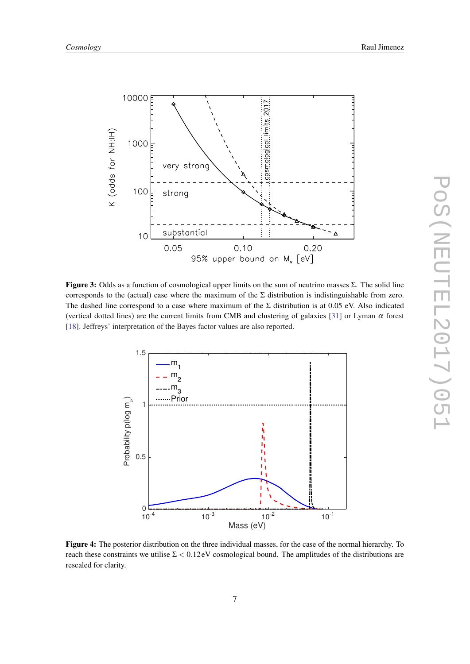<span id="page-7-0"></span>

**Figure 3:** Odds as a function of cosmological upper limits on the sum of neutrino masses  $\Sigma$ . The solid line corresponds to the (actual) case where the maximum of the  $\Sigma$  distribution is indistinguishable from zero. The dashed line correspond to a case where maximum of the  $\Sigma$  distribution is at 0.05 eV. Also indicated (vertical dotted lines) are the current limits from CMB and clustering of galaxies [[31\]](#page-9-0) or Lyman  $\alpha$  forest [[18\]](#page-9-0). Jeffreys' interpretation of the Bayes factor values are also reported.



Figure 4: The posterior distribution on the three individual masses, for the case of the normal hierarchy. To reach these constraints we utilise  $\Sigma < 0.12$  eV cosmological bound. The amplitudes of the distributions are rescaled for clarity.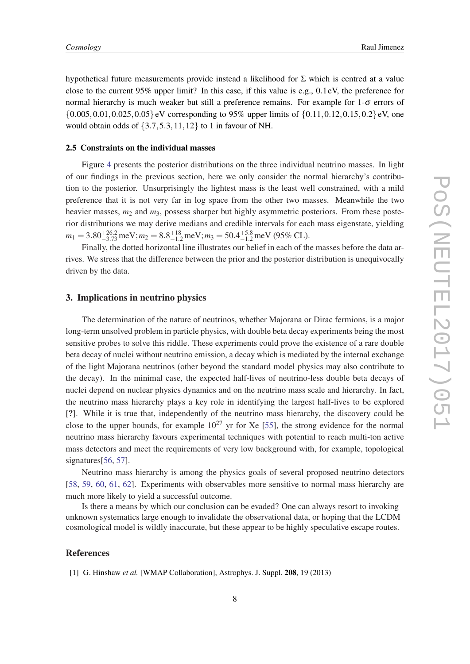<span id="page-8-0"></span>hypothetical future measurements provide instead a likelihood for Σ which is centred at a value close to the current 95% upper limit? In this case, if this value is e.g., 0.1 eV, the preference for normal hierarchy is much weaker but still a preference remains. For example for  $1-\sigma$  errors of  $\{0.005, 0.01, 0.025, 0.05\}$ eV corresponding to 95% upper limits of  $\{0.11, 0.12, 0.15, 0.2\}$ eV, one would obtain odds of  $\{3.7, 5.3, 11, 12\}$  to 1 in favour of NH.

#### 2.5 Constraints on the individual masses

Figure [4](#page-7-0) presents the posterior distributions on the three individual neutrino masses. In light of our findings in the previous section, here we only consider the normal hierarchy's contribution to the posterior. Unsurprisingly the lightest mass is the least well constrained, with a mild preference that it is not very far in log space from the other two masses. Meanwhile the two heavier masses,  $m_2$  and  $m_3$ , possess sharper but highly asymmetric posteriors. From these posterior distributions we may derive medians and credible intervals for each mass eigenstate, yielding  $m_1 = 3.80^{+26.2}_{-3.73}$  meV;  $m_2 = 8.8^{+18}_{-1.2}$  meV;  $m_3 = 50.4^{+5.8}_{-1.2}$  meV (95% CL).

Finally, the dotted horizontal line illustrates our belief in each of the masses before the data arrives. We stress that the difference between the prior and the posterior distribution is unequivocally driven by the data.

## 3. Implications in neutrino physics

The determination of the nature of neutrinos, whether Majorana or Dirac fermions, is a major long-term unsolved problem in particle physics, with double beta decay experiments being the most sensitive probes to solve this riddle. These experiments could prove the existence of a rare double beta decay of nuclei without neutrino emission, a decay which is mediated by the internal exchange of the light Majorana neutrinos (other beyond the standard model physics may also contribute to the decay). In the minimal case, the expected half-lives of neutrino-less double beta decays of nuclei depend on nuclear physics dynamics and on the neutrino mass scale and hierarchy. In fact, the neutrino mass hierarchy plays a key role in identifying the largest half-lives to be explored [?]. While it is true that, independently of the neutrino mass hierarchy, the discovery could be close to the upper bounds, for example  $10^{27}$  yr for Xe [[55\]](#page-10-0), the strong evidence for the normal neutrino mass hierarchy favours experimental techniques with potential to reach multi-ton active mass detectors and meet the requirements of very low background with, for example, topological signatures[\[56](#page-10-0), [57](#page-10-0)].

Neutrino mass hierarchy is among the physics goals of several proposed neutrino detectors [[58,](#page-10-0) [59](#page-10-0), [60](#page-10-0), [61](#page-10-0), [62\]](#page-10-0). Experiments with observables more sensitive to normal mass hierarchy are much more likely to yield a successful outcome.

Is there a means by which our conclusion can be evaded? One can always resort to invoking unknown systematics large enough to invalidate the observational data, or hoping that the LCDM cosmological model is wildly inaccurate, but these appear to be highly speculative escape routes.

### References

[1] G. Hinshaw *et al.* [WMAP Collaboration], Astrophys. J. Suppl. 208, 19 (2013)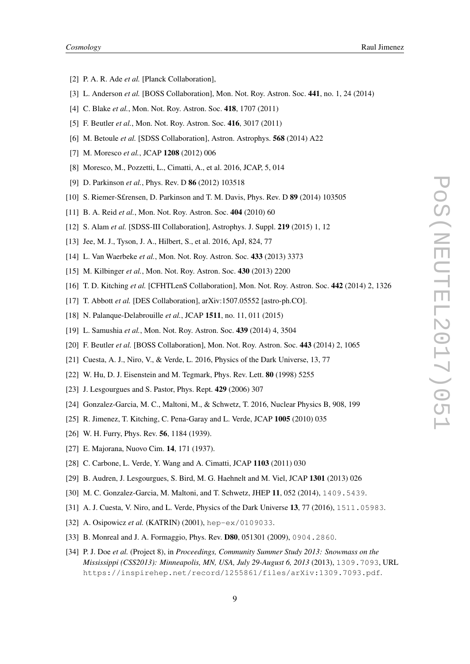- <span id="page-9-0"></span>[2] P. A. R. Ade *et al.* [Planck Collaboration],
- [3] L. Anderson *et al.* [BOSS Collaboration], Mon. Not. Roy. Astron. Soc. 441, no. 1, 24 (2014)
- [4] C. Blake *et al.*, Mon. Not. Roy. Astron. Soc. 418, 1707 (2011)
- [5] F. Beutler *et al.*, Mon. Not. Roy. Astron. Soc. 416, 3017 (2011)
- [6] M. Betoule *et al.* [SDSS Collaboration], Astron. Astrophys. 568 (2014) A22
- [7] M. Moresco *et al.*, JCAP 1208 (2012) 006
- [8] Moresco, M., Pozzetti, L., Cimatti, A., et al. 2016, JCAP, 5, 014
- [9] D. Parkinson *et al.*, Phys. Rev. D 86 (2012) 103518
- [10] S. Riemer-S£rensen, D. Parkinson and T. M. Davis, Phys. Rev. D 89 (2014) 103505
- [11] B. A. Reid *et al.*, Mon. Not. Roy. Astron. Soc. 404 (2010) 60
- [12] S. Alam *et al.* [SDSS-III Collaboration], Astrophys. J. Suppl. 219 (2015) 1, 12
- [13] Jee, M. J., Tyson, J. A., Hilbert, S., et al. 2016, ApJ, 824, 77
- [14] L. Van Waerbeke *et al.*, Mon. Not. Roy. Astron. Soc. 433 (2013) 3373
- [15] M. Kilbinger *et al.*, Mon. Not. Roy. Astron. Soc. 430 (2013) 2200
- [16] T. D. Kitching *et al.* [CFHTLenS Collaboration], Mon. Not. Roy. Astron. Soc. 442 (2014) 2, 1326
- [17] T. Abbott *et al.* [DES Collaboration], arXiv:1507.05552 [astro-ph.CO].
- [18] N. Palanque-Delabrouille *et al.*, JCAP 1511, no. 11, 011 (2015)
- [19] L. Samushia *et al.*, Mon. Not. Roy. Astron. Soc. 439 (2014) 4, 3504
- [20] F. Beutler *et al.* [BOSS Collaboration], Mon. Not. Roy. Astron. Soc. 443 (2014) 2, 1065
- [21] Cuesta, A. J., Niro, V., & Verde, L. 2016, Physics of the Dark Universe, 13, 77
- [22] W. Hu, D. J. Eisenstein and M. Tegmark, Phys. Rev. Lett. 80 (1998) 5255
- [23] J. Lesgourgues and S. Pastor, Phys. Rept. 429 (2006) 307
- [24] Gonzalez-Garcia, M. C., Maltoni, M., & Schwetz, T. 2016, Nuclear Physics B, 908, 199
- [25] R. Jimenez, T. Kitching, C. Pena-Garay and L. Verde, JCAP 1005 (2010) 035
- [26] W. H. Furry, Phys. Rev. **56**, 1184 (1939).
- [27] E. Majorana, Nuovo Cim. **14**, 171 (1937).
- [28] C. Carbone, L. Verde, Y. Wang and A. Cimatti, JCAP 1103 (2011) 030
- [29] B. Audren, J. Lesgourgues, S. Bird, M. G. Haehnelt and M. Viel, JCAP 1301 (2013) 026
- [30] M. C. Gonzalez-Garcia, M. Maltoni, and T. Schwetz, JHEP 11, 052 (2014), 1409.5439.
- [31] A. J. Cuesta, V. Niro, and L. Verde, Physics of the Dark Universe 13, 77 (2016), 1511.05983.
- [32] A. Osipowicz *et al.* (KATRIN) (2001), hep-ex/0109033.
- [33] B. Monreal and J. A. Formaggio, Phys. Rev. D80, 051301 (2009), 0904.2860.
- [34] P. J. Doe *et al.* (Project 8), in *Proceedings, Community Summer Study 2013: Snowmass on the Mississippi (CSS2013): Minneapolis, MN, USA, July 29-August 6, 2013* (2013), 1309.7093, URL https://inspirehep.net/record/1255861/files/arXiv:1309.7093.pdf.